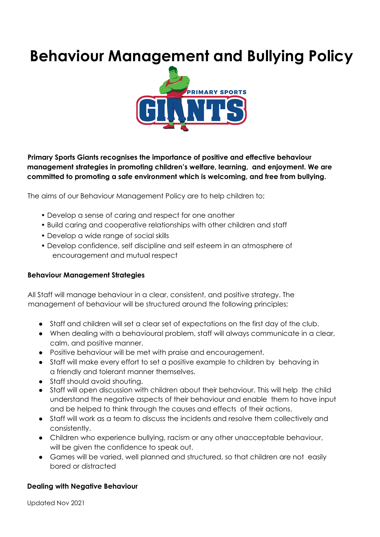# **Behaviour Management and Bullying Policy**



**Primary Sports Giants recognises the importance of positive and effective behaviour management strategies in promoting children's welfare, learning, and enjoyment. We are committed to promoting a safe environment which is welcoming, and free from bullying.**

The aims of our Behaviour Management Policy are to help children to;

- Develop a sense of caring and respect for one another
- Build caring and cooperative relationships with other children and staff
- Develop a wide range of social skills
- Develop confidence, self discipline and self esteem in an atmosphere of encouragement and mutual respect

#### **Behaviour Management Strategies**

All Staff will manage behaviour in a clear, consistent, and positive strategy. The management of behaviour will be structured around the following principles;

- Staff and children will set a clear set of expectations on the first day of the club.
- When dealing with a behavioural problem, staff will always communicate in a clear, calm, and positive manner.
- Positive behaviour will be met with praise and encouragement.
- Staff will make every effort to set a positive example to children by behaving in a friendly and tolerant manner themselves.
- Staff should avoid shouting.
- Staff will open discussion with children about their behaviour. This will help the child understand the negative aspects of their behaviour and enable them to have input and be helped to think through the causes and effects of their actions.
- Staff will work as a team to discuss the incidents and resolve them collectively and consistently.
- Children who experience bullying, racism or any other unacceptable behaviour, will be given the confidence to speak out.
- Games will be varied, well planned and structured, so that children are not easily bored or distracted

#### **Dealing with Negative Behaviour**

Updated Nov 2021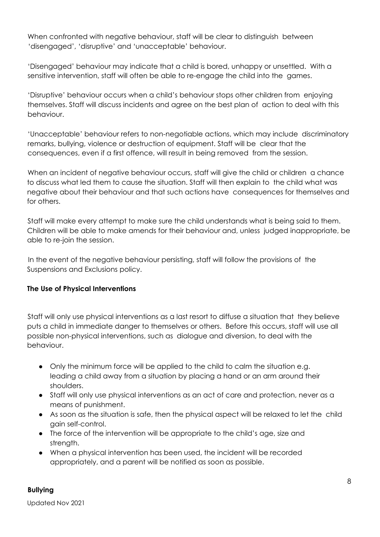When confronted with negative behaviour, staff will be clear to distinguish between 'disengaged', 'disruptive' and 'unacceptable' behaviour.

'Disengaged' behaviour may indicate that a child is bored, unhappy or unsettled. With a sensitive intervention, staff will often be able to re-engage the child into the games.

'Disruptive' behaviour occurs when a child's behaviour stops other children from enjoying themselves. Staff will discuss incidents and agree on the best plan of action to deal with this behaviour.

'Unacceptable' behaviour refers to non-negotiable actions, which may include discriminatory remarks, bullying, violence or destruction of equipment. Staff will be clear that the consequences, even if a first offence, will result in being removed from the session.

When an incident of negative behaviour occurs, staff will give the child or children a chance to discuss what led them to cause the situation. Staff will then explain to the child what was negative about their behaviour and that such actions have consequences for themselves and for others.

Staff will make every attempt to make sure the child understands what is being said to them. Children will be able to make amends for their behaviour and, unless judged inappropriate, be able to re-join the session.

In the event of the negative behaviour persisting, staff will follow the provisions of the Suspensions and Exclusions policy.

## **The Use of Physical Interventions**

Staff will only use physical interventions as a last resort to diffuse a situation that they believe puts a child in immediate danger to themselves or others. Before this occurs, staff will use all possible non-physical interventions, such as dialogue and diversion, to deal with the behaviour.

- Only the minimum force will be applied to the child to calm the situation e.g. leading a child away from a situation by placing a hand or an arm around their shoulders.
- Staff will only use physical interventions as an act of care and protection, never as a means of punishment.
- As soon as the situation is safe, then the physical aspect will be relaxed to let the child gain self-control.
- The force of the intervention will be appropriate to the child's age, size and strength.
- When a physical intervention has been used, the incident will be recorded appropriately, and a parent will be notified as soon as possible.

#### **Bullying**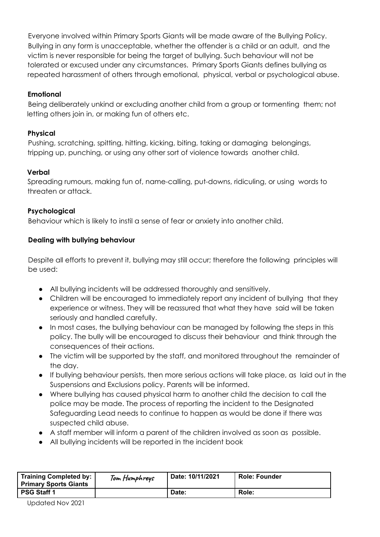Everyone involved within Primary Sports Giants will be made aware of the Bullying Policy. Bullying in any form is unacceptable, whether the offender is a child or an adult, and the victim is never responsible for being the target of bullying. Such behaviour will not be tolerated or excused under any circumstances. Primary Sports Giants defines bullying as repeated harassment of others through emotional, physical, verbal or psychological abuse.

## **Emotional**

Being deliberately unkind or excluding another child from a group or tormenting them; not letting others join in, or making fun of others etc.

## **Physical**

Pushing, scratching, spitting, hitting, kicking, biting, taking or damaging belongings, tripping up, punching, or using any other sort of violence towards another child.

# **Verbal**

Spreading rumours, making fun of, name-calling, put-downs, ridiculing, or using words to threaten or attack.

# **Psychological**

Behaviour which is likely to instil a sense of fear or anxiety into another child.

# **Dealing with bullying behaviour**

Despite all efforts to prevent it, bullying may still occur; therefore the following principles will be used:

- All bullying incidents will be addressed thoroughly and sensitively.
- Children will be encouraged to immediately report any incident of bullying that they experience or witness. They will be reassured that what they have said will be taken seriously and handled carefully.
- In most cases, the bullying behaviour can be managed by following the steps in this policy. The bully will be encouraged to discuss their behaviour and think through the consequences of their actions.
- The victim will be supported by the staff, and monitored throughout the remainder of the day.
- If bullying behaviour persists, then more serious actions will take place, as laid out in the Suspensions and Exclusions policy. Parents will be informed.
- Where bullying has caused physical harm to another child the decision to call the police may be made. The process of reporting the incident to the Designated Safeguarding Lead needs to continue to happen as would be done if there was suspected child abuse.
- A staff member will inform a parent of the children involved as soon as possible.
- All bullying incidents will be reported in the incident book

| Training Completed by:  <br><b>Primary Sports Giants</b> | Tom Humphreys | Date: 10/11/2021 | <b>Role: Founder</b> |
|----------------------------------------------------------|---------------|------------------|----------------------|
| PSG Staff 1                                              |               | Date:            | Role:                |